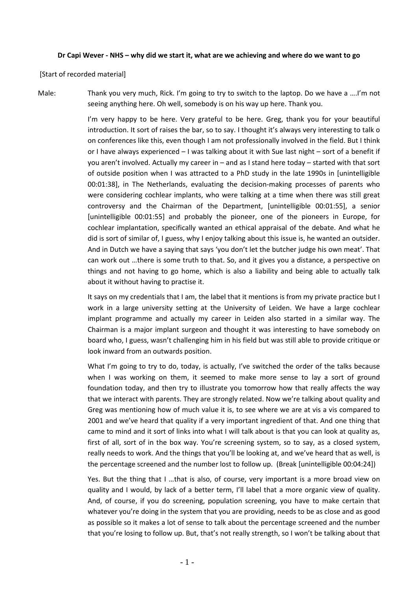## **Dr Capi Wever - NHS – why did we start it, what are we achieving and where do we want to go**

[Start of recorded material]

Male: Thank you very much, Rick. I'm going to try to switch to the laptop. Do we have a ….I'm not seeing anything here. Oh well, somebody is on his way up here. Thank you.

> I'm very happy to be here. Very grateful to be here. Greg, thank you for your beautiful introduction. It sort of raises the bar, so to say. I thought it's always very interesting to talk o on conferences like this, even though I am not professionally involved in the field. But I think or I have always experienced – I was talking about it with Sue last night – sort of a benefit if you aren't involved. Actually my career in – and as I stand here today – started with that sort of outside position when I was attracted to a PhD study in the late 1990s in [unintelligible 00:01:38], in The Netherlands, evaluating the decision-making processes of parents who were considering cochlear implants, who were talking at a time when there was still great controversy and the Chairman of the Department, [unintelligible 00:01:55], a senior [unintelligible 00:01:55] and probably the pioneer, one of the pioneers in Europe, for cochlear implantation, specifically wanted an ethical appraisal of the debate. And what he did is sort of similar of, I guess, why I enjoy talking about this issue is, he wanted an outsider. And in Dutch we have a saying that says 'you don't let the butcher judge his own meat'. That can work out …there is some truth to that. So, and it gives you a distance, a perspective on things and not having to go home, which is also a liability and being able to actually talk about it without having to practise it.

> It says on my credentials that I am, the label that it mentions is from my private practice but I work in a large university setting at the University of Leiden. We have a large cochlear implant programme and actually my career in Leiden also started in a similar way. The Chairman is a major implant surgeon and thought it was interesting to have somebody on board who, I guess, wasn't challenging him in his field but was still able to provide critique or look inward from an outwards position.

> What I'm going to try to do, today, is actually, I've switched the order of the talks because when I was working on them, it seemed to make more sense to lay a sort of ground foundation today, and then try to illustrate you tomorrow how that really affects the way that we interact with parents. They are strongly related. Now we're talking about quality and Greg was mentioning how of much value it is, to see where we are at vis a vis compared to 2001 and we've heard that quality if a very important ingredient of that. And one thing that came to mind and it sort of links into what I will talk about is that you can look at quality as, first of all, sort of in the box way. You're screening system, so to say, as a closed system, really needs to work. And the things that you'll be looking at, and we've heard that as well, is the percentage screened and the number lost to follow up. (Break [unintelligible 00:04:24])

> Yes. But the thing that I …that is also, of course, very important is a more broad view on quality and I would, by lack of a better term, I'll label that a more organic view of quality. And, of course, if you do screening, population screening, you have to make certain that whatever you're doing in the system that you are providing, needs to be as close and as good as possible so it makes a lot of sense to talk about the percentage screened and the number that you're losing to follow up. But, that's not really strength, so I won't be talking about that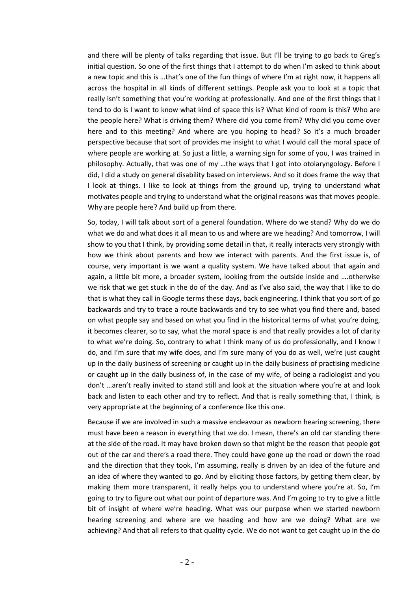and there will be plenty of talks regarding that issue. But I'll be trying to go back to Greg's initial question. So one of the first things that I attempt to do when I'm asked to think about a new topic and this is …that's one of the fun things of where I'm at right now, it happens all across the hospital in all kinds of different settings. People ask you to look at a topic that really isn't something that you're working at professionally. And one of the first things that I tend to do is I want to know what kind of space this is? What kind of room is this? Who are the people here? What is driving them? Where did you come from? Why did you come over here and to this meeting? And where are you hoping to head? So it's a much broader perspective because that sort of provides me insight to what I would call the moral space of where people are working at. So just a little, a warning sign for some of you, I was trained in philosophy. Actually, that was one of my …the ways that I got into otolaryngology. Before I did, I did a study on general disability based on interviews. And so it does frame the way that I look at things. I like to look at things from the ground up, trying to understand what motivates people and trying to understand what the original reasons was that moves people. Why are people here? And build up from there.

So, today, I will talk about sort of a general foundation. Where do we stand? Why do we do what we do and what does it all mean to us and where are we heading? And tomorrow, I will show to you that I think, by providing some detail in that, it really interacts very strongly with how we think about parents and how we interact with parents. And the first issue is, of course, very important is we want a quality system. We have talked about that again and again, a little bit more, a broader system, looking from the outside inside and ….otherwise we risk that we get stuck in the do of the day. And as I've also said, the way that I like to do that is what they call in Google terms these days, back engineering. I think that you sort of go backwards and try to trace a route backwards and try to see what you find there and, based on what people say and based on what you find in the historical terms of what you're doing, it becomes clearer, so to say, what the moral space is and that really provides a lot of clarity to what we're doing. So, contrary to what I think many of us do professionally, and I know I do, and I'm sure that my wife does, and I'm sure many of you do as well, we're just caught up in the daily business of screening or caught up in the daily business of practising medicine or caught up in the daily business of, in the case of my wife, of being a radiologist and you don't …aren't really invited to stand still and look at the situation where you're at and look back and listen to each other and try to reflect. And that is really something that, I think, is very appropriate at the beginning of a conference like this one.

Because if we are involved in such a massive endeavour as newborn hearing screening, there must have been a reason in everything that we do. I mean, there's an old car standing there at the side of the road. It may have broken down so that might be the reason that people got out of the car and there's a road there. They could have gone up the road or down the road and the direction that they took, I'm assuming, really is driven by an idea of the future and an idea of where they wanted to go. And by eliciting those factors, by getting them clear, by making them more transparent, it really helps you to understand where you're at. So, I'm going to try to figure out what our point of departure was. And I'm going to try to give a little bit of insight of where we're heading. What was our purpose when we started newborn hearing screening and where are we heading and how are we doing? What are we achieving? And that all refers to that quality cycle. We do not want to get caught up in the do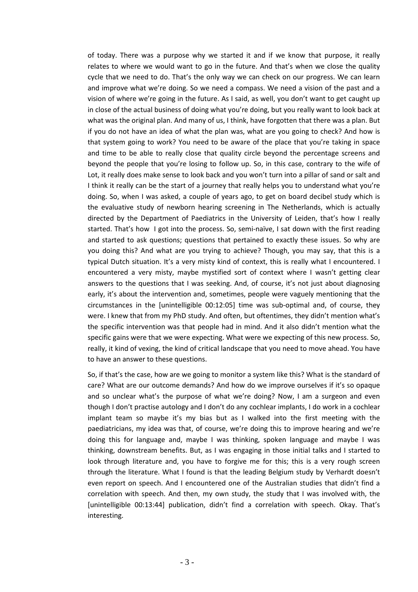of today. There was a purpose why we started it and if we know that purpose, it really relates to where we would want to go in the future. And that's when we close the quality cycle that we need to do. That's the only way we can check on our progress. We can learn and improve what we're doing. So we need a compass. We need a vision of the past and a vision of where we're going in the future. As I said, as well, you don't want to get caught up in close of the actual business of doing what you're doing, but you really want to look back at what was the original plan. And many of us, I think, have forgotten that there was a plan. But if you do not have an idea of what the plan was, what are you going to check? And how is that system going to work? You need to be aware of the place that you're taking in space and time to be able to really close that quality circle beyond the percentage screens and beyond the people that you're losing to follow up. So, in this case, contrary to the wife of Lot, it really does make sense to look back and you won't turn into a pillar of sand or salt and I think it really can be the start of a journey that really helps you to understand what you're doing. So, when I was asked, a couple of years ago, to get on board decibel study which is the evaluative study of newborn hearing screening in The Netherlands, which is actually directed by the Department of Paediatrics in the University of Leiden, that's how I really started. That's how I got into the process. So, semi-naïve, I sat down with the first reading and started to ask questions; questions that pertained to exactly these issues. So why are you doing this? And what are you trying to achieve? Though, you may say, that this is a typical Dutch situation. It's a very misty kind of context, this is really what I encountered. I encountered a very misty, maybe mystified sort of context where I wasn't getting clear answers to the questions that I was seeking. And, of course, it's not just about diagnosing early, it's about the intervention and, sometimes, people were vaguely mentioning that the circumstances in the [unintelligible 00:12:05] time was sub-optimal and, of course, they were. I knew that from my PhD study. And often, but oftentimes, they didn't mention what's the specific intervention was that people had in mind. And it also didn't mention what the specific gains were that we were expecting. What were we expecting of this new process. So, really, it kind of vexing, the kind of critical landscape that you need to move ahead. You have to have an answer to these questions.

So, if that's the case, how are we going to monitor a system like this? What is the standard of care? What are our outcome demands? And how do we improve ourselves if it's so opaque and so unclear what's the purpose of what we're doing? Now, I am a surgeon and even though I don't practise autology and I don't do any cochlear implants, I do work in a cochlear implant team so maybe it's my bias but as I walked into the first meeting with the paediatricians, my idea was that, of course, we're doing this to improve hearing and we're doing this for language and, maybe I was thinking, spoken language and maybe I was thinking, downstream benefits. But, as I was engaging in those initial talks and I started to look through literature and, you have to forgive me for this; this is a very rough screen through the literature. What I found is that the leading Belgium study by Verhardt doesn't even report on speech. And I encountered one of the Australian studies that didn't find a correlation with speech. And then, my own study, the study that I was involved with, the [unintelligible 00:13:44] publication, didn't find a correlation with speech. Okay. That's interesting.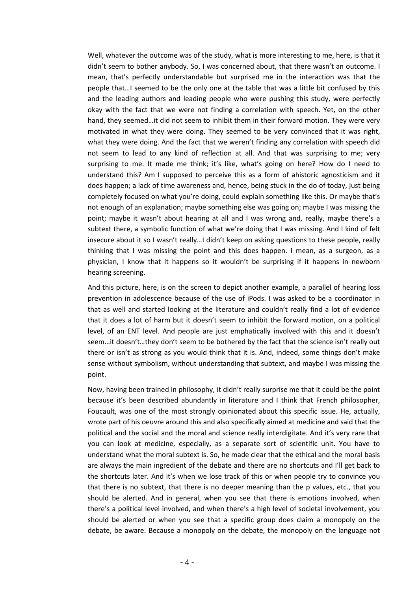Well, whatever the outcome was of the study, what is more interesting to me, here, is that it didn't seem to bother anybody. So, I was concerned about, that there wasn't an outcome. I mean, that's perfectly understandable but surprised me in the interaction was that the people that…I seemed to be the only one at the table that was a little bit confused by this and the leading authors and leading people who were pushing this study, were perfectly okay with the fact that we were not finding a correlation with speech. Yet, on the other hand, they seemed…it did not seem to inhibit them in their forward motion. They were very motivated in what they were doing. They seemed to be very convinced that it was right, what they were doing. And the fact that we weren't finding any correlation with speech did not seem to lead to any kind of reflection at all. And that was surprising to me; very surprising to me. It made me think; it's like, what's going on here? How do I need to understand this? Am I supposed to perceive this as a form of ahistoric agnosticism and it does happen; a lack of time awareness and, hence, being stuck in the do of today, just being completely focused on what you're doing, could explain something like this. Or maybe that's not enough of an explanation; maybe something else was going on; maybe I was missing the point; maybe it wasn't about hearing at all and I was wrong and, really, maybe there's a subtext there, a symbolic function of what we're doing that I was missing. And I kind of felt insecure about it so I wasn't really…I didn't keep on asking questions to these people, really thinking that I was missing the point and this does happen. I mean, as a surgeon, as a physician, I know that it happens so it wouldn't be surprising if it happens in newborn hearing screening.

And this picture, here, is on the screen to depict another example, a parallel of hearing loss prevention in adolescence because of the use of iPods. I was asked to be a coordinator in that as well and started looking at the literature and couldn't really find a lot of evidence that it does a lot of harm but it doesn't seem to inhibit the forward motion, on a political level, of an ENT level. And people are just emphatically involved with this and it doesn't seem…it doesn't…they don't seem to be bothered by the fact that the science isn't really out there or isn't as strong as you would think that it is. And, indeed, some things don't make sense without symbolism, without understanding that subtext, and maybe I was missing the point.

Now, having been trained in philosophy, it didn't really surprise me that it could be the point because it's been described abundantly in literature and I think that French philosopher, Foucault, was one of the most strongly opinionated about this specific issue. He, actually, wrote part of his oeuvre around this and also specifically aimed at medicine and said that the political and the social and the moral and science really interdigitate. And it's very rare that you can look at medicine, especially, as a separate sort of scientific unit. You have to understand what the moral subtext is. So, he made clear that the ethical and the moral basis are always the main ingredient of the debate and there are no shortcuts and I'll get back to the shortcuts later. And it's when we lose track of this or when people try to convince you that there is no subtext, that there is no deeper meaning than the p values, etc., that you should be alerted. And in general, when you see that there is emotions involved, when there's a political level involved, and when there's a high level of societal involvement, you should be alerted or when you see that a specific group does claim a monopoly on the debate, be aware. Because a monopoly on the debate, the monopoly on the language not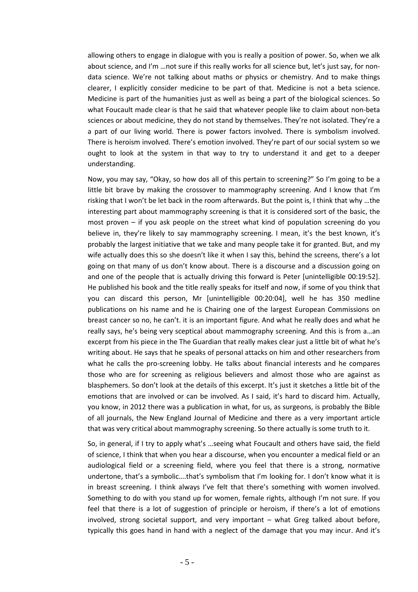allowing others to engage in dialogue with you is really a position of power. So, when we alk about science, and I'm …not sure if this really works for all science but, let's just say, for nondata science. We're not talking about maths or physics or chemistry. And to make things clearer, I explicitly consider medicine to be part of that. Medicine is not a beta science. Medicine is part of the humanities just as well as being a part of the biological sciences. So what Foucault made clear is that he said that whatever people like to claim about non-beta sciences or about medicine, they do not stand by themselves. They're not isolated. They're a a part of our living world. There is power factors involved. There is symbolism involved. There is heroism involved. There's emotion involved. They're part of our social system so we ought to look at the system in that way to try to understand it and get to a deeper understanding.

Now, you may say, "Okay, so how dos all of this pertain to screening?" So I'm going to be a little bit brave by making the crossover to mammography screening. And I know that I'm risking that I won't be let back in the room afterwards. But the point is, I think that why …the interesting part about mammography screening is that it is considered sort of the basic, the most proven – if you ask people on the street what kind of population screening do you believe in, they're likely to say mammography screening. I mean, it's the best known, it's probably the largest initiative that we take and many people take it for granted. But, and my wife actually does this so she doesn't like it when I say this, behind the screens, there's a lot going on that many of us don't know about. There is a discourse and a discussion going on and one of the people that is actually driving this forward is Peter [unintelligible 00:19:52]. He published his book and the title really speaks for itself and now, if some of you think that you can discard this person, Mr [unintelligible 00:20:04], well he has 350 medline publications on his name and he is Chairing one of the largest European Commissions on breast cancer so no, he can't. it is an important figure. And what he really does and what he really says, he's being very sceptical about mammography screening. And this is from a…an excerpt from his piece in the The Guardian that really makes clear just a little bit of what he's writing about. He says that he speaks of personal attacks on him and other researchers from what he calls the pro-screening lobby. He talks about financial interests and he compares those who are for screening as religious believers and almost those who are against as blasphemers. So don't look at the details of this excerpt. It's just it sketches a little bit of the emotions that are involved or can be involved. As I said, it's hard to discard him. Actually, you know, in 2012 there was a publication in what, for us, as surgeons, is probably the Bible of all journals, the New England Journal of Medicine and there as a very important article that was very critical about mammography screening. So there actually is some truth to it.

So, in general, if I try to apply what's …seeing what Foucault and others have said, the field of science, I think that when you hear a discourse, when you encounter a medical field or an audiological field or a screening field, where you feel that there is a strong, normative undertone, that's a symbolic….that's symbolism that I'm looking for. I don't know what it is in breast screening. I think always I've felt that there's something with women involved. Something to do with you stand up for women, female rights, although I'm not sure. If you feel that there is a lot of suggestion of principle or heroism, if there's a lot of emotions involved, strong societal support, and very important – what Greg talked about before, typically this goes hand in hand with a neglect of the damage that you may incur. And it's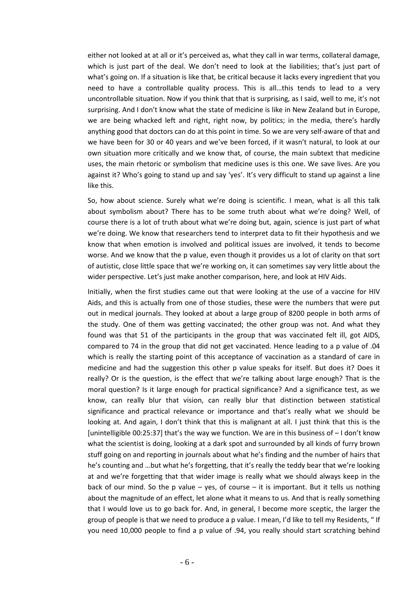either not looked at at all or it's perceived as, what they call in war terms, collateral damage, which is just part of the deal. We don't need to look at the liabilities; that's just part of what's going on. If a situation is like that, be critical because it lacks every ingredient that you need to have a controllable quality process. This is all…this tends to lead to a very uncontrollable situation. Now if you think that that is surprising, as I said, well to me, it's not surprising. And I don't know what the state of medicine is like in New Zealand but in Europe, we are being whacked left and right, right now, by politics; in the media, there's hardly anything good that doctors can do at this point in time. So we are very self-aware of that and we have been for 30 or 40 years and we've been forced, if it wasn't natural, to look at our own situation more critically and we know that, of course, the main subtext that medicine uses, the main rhetoric or symbolism that medicine uses is this one. We save lives. Are you against it? Who's going to stand up and say 'yes'. It's very difficult to stand up against a line like this.

So, how about science. Surely what we're doing is scientific. I mean, what is all this talk about symbolism about? There has to be some truth about what we're doing? Well, of course there is a lot of truth about what we're doing but, again, science is just part of what we're doing. We know that researchers tend to interpret data to fit their hypothesis and we know that when emotion is involved and political issues are involved, it tends to become worse. And we know that the p value, even though it provides us a lot of clarity on that sort of autistic, close little space that we're working on, it can sometimes say very little about the wider perspective. Let's just make another comparison, here, and look at HIV Aids.

Initially, when the first studies came out that were looking at the use of a vaccine for HIV Aids, and this is actually from one of those studies, these were the numbers that were put out in medical journals. They looked at about a large group of 8200 people in both arms of the study. One of them was getting vaccinated; the other group was not. And what they found was that 51 of the participants in the group that was vaccinated felt ill, got AIDS, compared to 74 in the group that did not get vaccinated. Hence leading to a p value of .04 which is really the starting point of this acceptance of vaccination as a standard of care in medicine and had the suggestion this other p value speaks for itself. But does it? Does it really? Or is the question, is the effect that we're talking about large enough? That is the moral question? Is it large enough for practical significance? And a significance test, as we know, can really blur that vision, can really blur that distinction between statistical significance and practical relevance or importance and that's really what we should be looking at. And again, I don't think that this is malignant at all. I just think that this is the [unintelligible 00:25:37] that's the way we function. We are in this business of – I don't know what the scientist is doing, looking at a dark spot and surrounded by all kinds of furry brown stuff going on and reporting in journals about what he's finding and the number of hairs that he's counting and …but what he's forgetting, that it's really the teddy bear that we're looking at and we're forgetting that that wider image is really what we should always keep in the back of our mind. So the p value  $-$  yes, of course  $-$  it is important. But it tells us nothing about the magnitude of an effect, let alone what it means to us. And that is really something that I would love us to go back for. And, in general, I become more sceptic, the larger the group of people is that we need to produce a p value. I mean, I'd like to tell my Residents, " If you need 10,000 people to find a p value of .94, you really should start scratching behind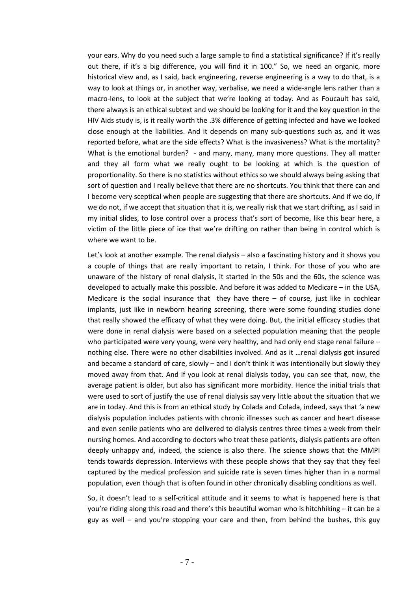your ears. Why do you need such a large sample to find a statistical significance? If it's really out there, if it's a big difference, you will find it in 100." So, we need an organic, more historical view and, as I said, back engineering, reverse engineering is a way to do that, is a way to look at things or, in another way, verbalise, we need a wide-angle lens rather than a macro-lens, to look at the subject that we're looking at today. And as Foucault has said, there always is an ethical subtext and we should be looking for it and the key question in the HIV Aids study is, is it really worth the .3% difference of getting infected and have we looked close enough at the liabilities. And it depends on many sub-questions such as, and it was reported before, what are the side effects? What is the invasiveness? What is the mortality? What is the emotional burden? - and many, many, many more questions. They all matter and they all form what we really ought to be looking at which is the question of proportionality. So there is no statistics without ethics so we should always being asking that sort of question and I really believe that there are no shortcuts. You think that there can and I become very sceptical when people are suggesting that there are shortcuts. And if we do, if we do not, if we accept that situation that it is, we really risk that we start drifting, as I said in my initial slides, to lose control over a process that's sort of become, like this bear here, a victim of the little piece of ice that we're drifting on rather than being in control which is where we want to be.

Let's look at another example. The renal dialysis – also a fascinating history and it shows you a couple of things that are really important to retain, I think. For those of you who are unaware of the history of renal dialysis, it started in the 50s and the 60s, the science was developed to actually make this possible. And before it was added to Medicare – in the USA, Medicare is the social insurance that they have there  $-$  of course, just like in cochlear implants, just like in newborn hearing screening, there were some founding studies done that really showed the efficacy of what they were doing. But, the initial efficacy studies that were done in renal dialysis were based on a selected population meaning that the people who participated were very young, were very healthy, and had only end stage renal failure nothing else. There were no other disabilities involved. And as it …renal dialysis got insured and became a standard of care, slowly - and I don't think it was intentionally but slowly they moved away from that. And if you look at renal dialysis today, you can see that, now, the average patient is older, but also has significant more morbidity. Hence the initial trials that were used to sort of justify the use of renal dialysis say very little about the situation that we are in today. And this is from an ethical study by Colada and Colada, indeed, says that 'a new dialysis population includes patients with chronic illnesses such as cancer and heart disease and even senile patients who are delivered to dialysis centres three times a week from their nursing homes. And according to doctors who treat these patients, dialysis patients are often deeply unhappy and, indeed, the science is also there. The science shows that the MMPI tends towards depression. Interviews with these people shows that they say that they feel captured by the medical profession and suicide rate is seven times higher than in a normal population, even though that is often found in other chronically disabling conditions as well.

So, it doesn't lead to a self-critical attitude and it seems to what is happened here is that you're riding along this road and there's this beautiful woman who is hitchhiking – it can be a guy as well – and you're stopping your care and then, from behind the bushes, this guy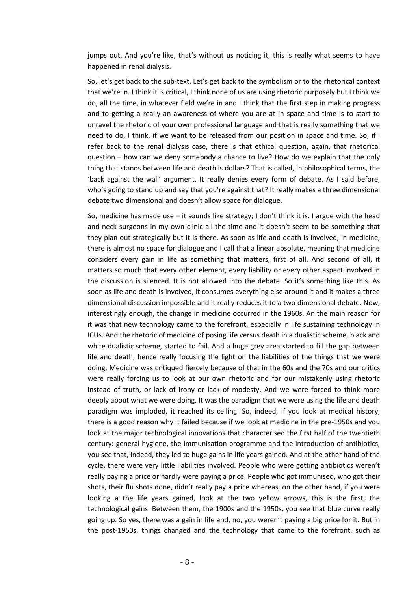jumps out. And you're like, that's without us noticing it, this is really what seems to have happened in renal dialysis.

So, let's get back to the sub-text. Let's get back to the symbolism or to the rhetorical context that we're in. I think it is critical, I think none of us are using rhetoric purposely but I think we do, all the time, in whatever field we're in and I think that the first step in making progress and to getting a really an awareness of where you are at in space and time is to start to unravel the rhetoric of your own professional language and that is really something that we need to do, I think, if we want to be released from our position in space and time. So, if I refer back to the renal dialysis case, there is that ethical question, again, that rhetorical question – how can we deny somebody a chance to live? How do we explain that the only thing that stands between life and death is dollars? That is called, in philosophical terms, the 'back against the wall' argument. It really denies every form of debate. As I said before, who's going to stand up and say that you're against that? It really makes a three dimensional debate two dimensional and doesn't allow space for dialogue.

So, medicine has made use  $-$  it sounds like strategy; I don't think it is. I argue with the head and neck surgeons in my own clinic all the time and it doesn't seem to be something that they plan out strategically but it is there. As soon as life and death is involved, in medicine, there is almost no space for dialogue and I call that a linear absolute, meaning that medicine considers every gain in life as something that matters, first of all. And second of all, it matters so much that every other element, every liability or every other aspect involved in the discussion is silenced. It is not allowed into the debate. So it's something like this. As soon as life and death is involved, it consumes everything else around it and it makes a three dimensional discussion impossible and it really reduces it to a two dimensional debate. Now, interestingly enough, the change in medicine occurred in the 1960s. An the main reason for it was that new technology came to the forefront, especially in life sustaining technology in ICUs. And the rhetoric of medicine of posing life versus death in a dualistic scheme, black and white dualistic scheme, started to fail. And a huge grey area started to fill the gap between life and death, hence really focusing the light on the liabilities of the things that we were doing. Medicine was critiqued fiercely because of that in the 60s and the 70s and our critics were really forcing us to look at our own rhetoric and for our mistakenly using rhetoric instead of truth, or lack of irony or lack of modesty. And we were forced to think more deeply about what we were doing. It was the paradigm that we were using the life and death paradigm was imploded, it reached its ceiling. So, indeed, if you look at medical history, there is a good reason why it failed because if we look at medicine in the pre-1950s and you look at the major technological innovations that characterised the first half of the twentieth century: general hygiene, the immunisation programme and the introduction of antibiotics, you see that, indeed, they led to huge gains in life years gained. And at the other hand of the cycle, there were very little liabilities involved. People who were getting antibiotics weren't really paying a price or hardly were paying a price. People who got immunised, who got their shots, their flu shots done, didn't really pay a price whereas, on the other hand, if you were looking a the life years gained, look at the two yellow arrows, this is the first, the technological gains. Between them, the 1900s and the 1950s, you see that blue curve really going up. So yes, there was a gain in life and, no, you weren't paying a big price for it. But in the post-1950s, things changed and the technology that came to the forefront, such as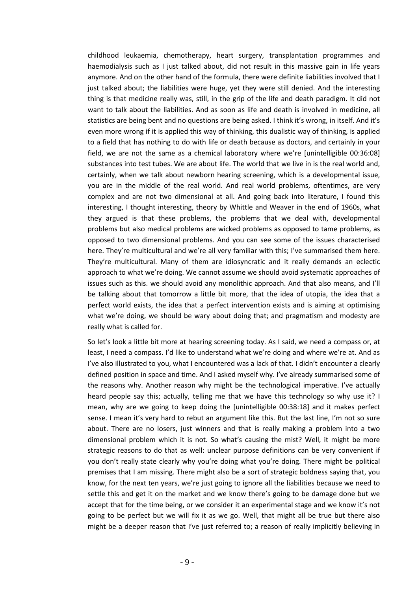childhood leukaemia, chemotherapy, heart surgery, transplantation programmes and haemodialysis such as I just talked about, did not result in this massive gain in life years anymore. And on the other hand of the formula, there were definite liabilities involved that I just talked about; the liabilities were huge, yet they were still denied. And the interesting thing is that medicine really was, still, in the grip of the life and death paradigm. It did not want to talk about the liabilities. And as soon as life and death is involved in medicine, all statistics are being bent and no questions are being asked. I think it's wrong, in itself. And it's even more wrong if it is applied this way of thinking, this dualistic way of thinking, is applied to a field that has nothing to do with life or death because as doctors, and certainly in your field, we are not the same as a chemical laboratory where we're [unintelligible 00:36:08] substances into test tubes. We are about life. The world that we live in is the real world and, certainly, when we talk about newborn hearing screening, which is a developmental issue, you are in the middle of the real world. And real world problems, oftentimes, are very complex and are not two dimensional at all. And going back into literature, I found this interesting, I thought interesting, theory by Whittle and Weaver in the end of 1960s, what they argued is that these problems, the problems that we deal with, developmental problems but also medical problems are wicked problems as opposed to tame problems, as opposed to two dimensional problems. And you can see some of the issues characterised here. They're multicultural and we're all very familiar with this; I've summarised them here. They're multicultural. Many of them are idiosyncratic and it really demands an eclectic approach to what we're doing. We cannot assume we should avoid systematic approaches of issues such as this. we should avoid any monolithic approach. And that also means, and I'll be talking about that tomorrow a little bit more, that the idea of utopia, the idea that a perfect world exists, the idea that a perfect intervention exists and is aiming at optimising what we're doing, we should be wary about doing that; and pragmatism and modesty are really what is called for.

So let's look a little bit more at hearing screening today. As I said, we need a compass or, at least, I need a compass. I'd like to understand what we're doing and where we're at. And as I've also illustrated to you, what I encountered was a lack of that. I didn't encounter a clearly defined position in space and time. And I asked myself why. I've already summarised some of the reasons why. Another reason why might be the technological imperative. I've actually heard people say this; actually, telling me that we have this technology so why use it? I mean, why are we going to keep doing the [unintelligible 00:38:18] and it makes perfect sense. I mean it's very hard to rebut an argument like this. But the last line, I'm not so sure about. There are no losers, just winners and that is really making a problem into a two dimensional problem which it is not. So what's causing the mist? Well, it might be more strategic reasons to do that as well: unclear purpose definitions can be very convenient if you don't really state clearly why you're doing what you're doing. There might be political premises that I am missing. There might also be a sort of strategic boldness saying that, you know, for the next ten years, we're just going to ignore all the liabilities because we need to settle this and get it on the market and we know there's going to be damage done but we accept that for the time being, or we consider it an experimental stage and we know it's not going to be perfect but we will fix it as we go. Well, that might all be true but there also might be a deeper reason that I've just referred to; a reason of really implicitly believing in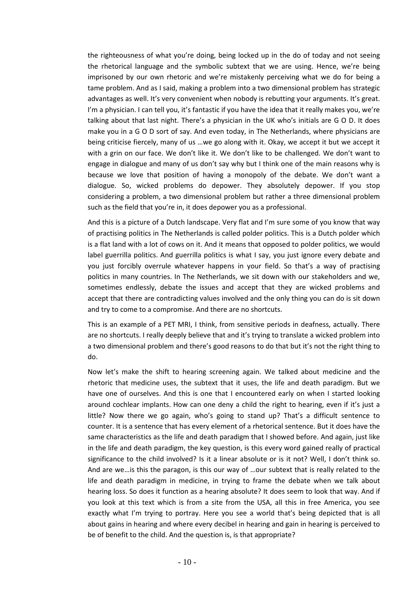the righteousness of what you're doing, being locked up in the do of today and not seeing the rhetorical language and the symbolic subtext that we are using. Hence, we're being imprisoned by our own rhetoric and we're mistakenly perceiving what we do for being a tame problem. And as I said, making a problem into a two dimensional problem has strategic advantages as well. It's very convenient when nobody is rebutting your arguments. It's great. I'm a physician. I can tell you, it's fantastic if you have the idea that it really makes you, we're talking about that last night. There's a physician in the UK who's initials are G O D. It does make you in a G O D sort of say. And even today, in The Netherlands, where physicians are being criticise fiercely, many of us …we go along with it. Okay, we accept it but we accept it with a grin on our face. We don't like it. We don't like to be challenged. We don't want to engage in dialogue and many of us don't say why but I think one of the main reasons why is because we love that position of having a monopoly of the debate. We don't want a dialogue. So, wicked problems do depower. They absolutely depower. If you stop considering a problem, a two dimensional problem but rather a three dimensional problem such as the field that you're in, it does depower you as a professional.

And this is a picture of a Dutch landscape. Very flat and I'm sure some of you know that way of practising politics in The Netherlands is called polder politics. This is a Dutch polder which is a flat land with a lot of cows on it. And it means that opposed to polder politics, we would label guerrilla politics. And guerrilla politics is what I say, you just ignore every debate and you just forcibly overrule whatever happens in your field. So that's a way of practising politics in many countries. In The Netherlands, we sit down with our stakeholders and we, sometimes endlessly, debate the issues and accept that they are wicked problems and accept that there are contradicting values involved and the only thing you can do is sit down and try to come to a compromise. And there are no shortcuts.

This is an example of a PET MRI, I think, from sensitive periods in deafness, actually. There are no shortcuts. I really deeply believe that and it's trying to translate a wicked problem into a two dimensional problem and there's good reasons to do that but it's not the right thing to do.

Now let's make the shift to hearing screening again. We talked about medicine and the rhetoric that medicine uses, the subtext that it uses, the life and death paradigm. But we have one of ourselves. And this is one that I encountered early on when I started looking around cochlear implants. How can one deny a child the right to hearing, even if it's just a little? Now there we go again, who's going to stand up? That's a difficult sentence to counter. It is a sentence that has every element of a rhetorical sentence. But it does have the same characteristics as the life and death paradigm that I showed before. And again, just like in the life and death paradigm, the key question, is this every word gained really of practical significance to the child involved? Is it a linear absolute or is it not? Well, I don't think so. And are we…is this the paragon, is this our way of …our subtext that is really related to the life and death paradigm in medicine, in trying to frame the debate when we talk about hearing loss. So does it function as a hearing absolute? It does seem to look that way. And if you look at this text which is from a site from the USA, all this in free America, you see exactly what I'm trying to portray. Here you see a world that's being depicted that is all about gains in hearing and where every decibel in hearing and gain in hearing is perceived to be of benefit to the child. And the question is, is that appropriate?